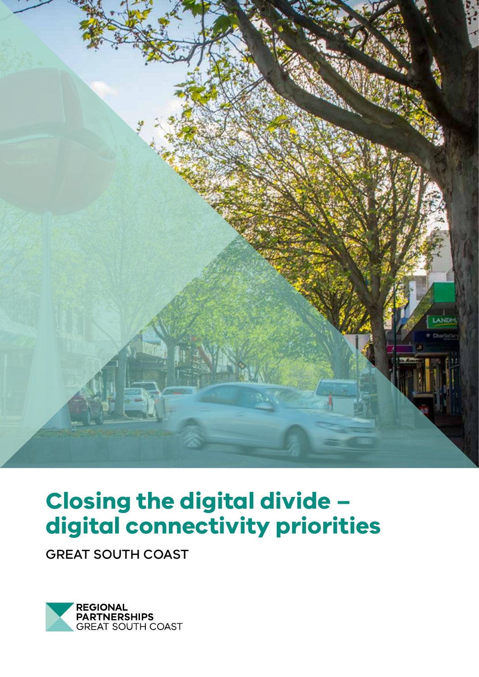

# **Closing the digital divide – digital connectivity priorities**

GREAT SOUTH COAST

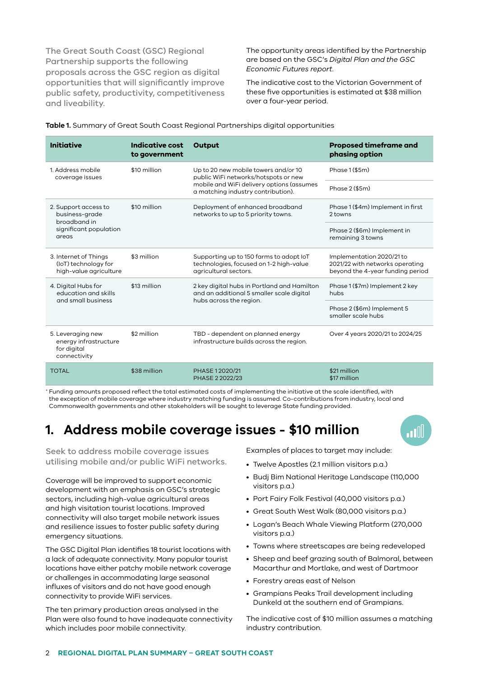The Great South Coast (GSC) Regional Partnership supports the following proposals across the GSC region as digital opportunities that will significantly improve public safety, productivity, competitiveness and liveability.

The opportunity areas identified by the Partnership are based on the GSC's *Digital Plan and the GSC Economic Futures report*.

The indicative cost to the Victorian Government of these five opportunities is estimated at \$38 million over a four-year period.

| <b>Initiative</b>                                                                         | Indicative cost<br>to government | Output                                                                                                                                                          | <b>Proposed timeframe and</b><br>phasing option                                                  |
|-------------------------------------------------------------------------------------------|----------------------------------|-----------------------------------------------------------------------------------------------------------------------------------------------------------------|--------------------------------------------------------------------------------------------------|
| 1. Address mobile<br>coverage issues                                                      | \$10 million                     | Up to 20 new mobile towers and/or 10<br>public WiFi networks/hotspots or new<br>mobile and WiFi delivery options (assumes<br>a matching industry contribution). | Phase 1 (\$5m)                                                                                   |
|                                                                                           |                                  |                                                                                                                                                                 | Phase 2 (\$5m)                                                                                   |
| 2. Support access to<br>business-grade<br>broadband in<br>significant population<br>areas | \$10 million                     | Deployment of enhanced broadband<br>networks to up to 5 priority towns.                                                                                         | Phase 1 (\$4m) Implement in first<br>2 towns                                                     |
|                                                                                           |                                  |                                                                                                                                                                 | Phase 2 (\$6m) Implement in<br>remaining 3 towns                                                 |
| 3. Internet of Things<br>(IoT) technology for<br>high-value agriculture                   | \$3 million                      | Supporting up to 150 farms to adopt IoT<br>technologies, focused on 1-2 high-value<br>agricultural sectors.                                                     | Implementation 2020/21 to<br>2021/22 with networks operating<br>beyond the 4-year funding period |
| 4. Digital Hubs for<br>education and skills<br>and small business                         | \$13 million                     | 2 key digital hubs in Portland and Hamilton<br>and an additional 5 smaller scale digital<br>hubs across the region.                                             | Phase 1 (\$7m) Implement 2 key<br>hubs                                                           |
|                                                                                           |                                  |                                                                                                                                                                 | Phase 2 (\$6m) Implement 5<br>smaller scale hubs                                                 |
| 5. Leveraging new<br>energy infrastructure<br>for digital<br>connectivity                 | \$2 million                      | TBD - dependent on planned energy<br>infrastructure builds across the region.                                                                                   | Over 4 years 2020/21 to 2024/25                                                                  |
| <b>TOTAL</b>                                                                              | \$38 million                     | PHASE 12020/21<br>PHASE 2 2022/23                                                                                                                               | \$21 million<br>\$17 million                                                                     |

**Table 1.** Summary of Great South Coast Regional Partnerships digital opportunities

<sup>+</sup> Funding amounts proposed reflect the total estimated costs of implementing the initiative at the scale identified, with the exception of mobile coverage where industry matching funding is assumed. Co-contributions from industry, local and Commonwealth governments and other stakeholders will be sought to leverage State funding provided.

#### **1. Address mobile coverage issues - \$10 million**

Seek to address mobile coverage issues utilising mobile and/or public WiFi networks.

Coverage will be improved to support economic development with an emphasis on GSC's strategic sectors, including high-value agricultural areas and high visitation tourist locations. Improved connectivity will also target mobile network issues and resilience issues to foster public safety during emergency situations.

The GSC Digital Plan identifies 18 tourist locations with a lack of adequate connectivity. Many popular tourist locations have either patchy mobile network coverage or challenges in accommodating large seasonal influxes of visitors and do not have good enough connectivity to provide WiFi services.

The ten primary production areas analysed in the Plan were also found to have inadequate connectivity which includes poor mobile connectivity.

Examples of places to target may include:

- Twelve Apostles (2.1 million visitors p.a.)
- Budj Bim National Heritage Landscape (110,000 visitors p.a.)

اال

- Port Fairy Folk Festival (40,000 visitors p.a.)
- Great South West Walk (80,000 visitors p.a.)
- Logan's Beach Whale Viewing Platform (270,000 visitors p.a.)
- Towns where streetscapes are being redeveloped
- Sheep and beef grazing south of Balmoral, between Macarthur and Mortlake, and west of Dartmoor
- Forestry areas east of Nelson
- Grampians Peaks Trail development including Dunkeld at the southern end of Grampians.

The indicative cost of \$10 million assumes a matching industry contribution.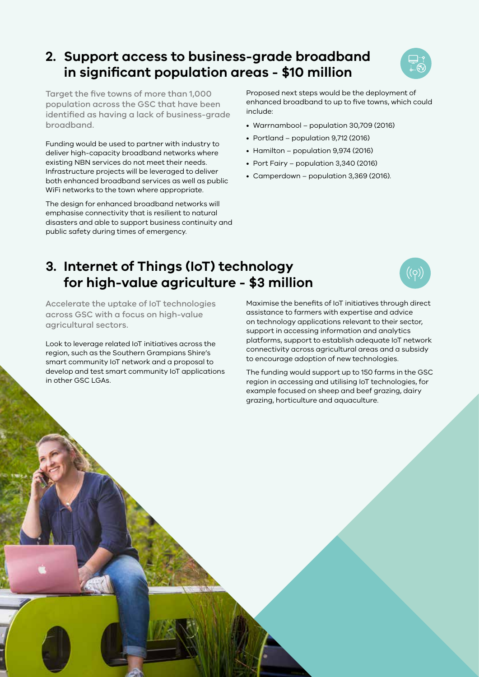## **2. Support access to business-grade broadband in significant population areas - \$10 million**



Target the five towns of more than 1,000 population across the GSC that have been identified as having a lack of business-grade broadband.

Funding would be used to partner with industry to deliver high-capacity broadband networks where existing NBN services do not meet their needs. Infrastructure projects will be leveraged to deliver both enhanced broadband services as well as public WiFi networks to the town where appropriate.

The design for enhanced broadband networks will emphasise connectivity that is resilient to natural disasters and able to support business continuity and public safety during times of emergency.

Proposed next steps would be the deployment of enhanced broadband to up to five towns, which could include:

- Warrnambool population 30,709 (2016)
- Portland population 9,712 (2016)
- Hamilton population 9,974 (2016)
- Port Fairy population 3,340 (2016)
- Camperdown population 3,369 (2016).

## **3. Internet of Things (IoT) technology for high-value agriculture - \$3 million**

Accelerate the uptake of IoT technologies across GSC with a focus on high-value agricultural sectors.

Look to leverage related IoT initiatives across the region, such as the Southern Grampians Shire's smart community IoT network and a proposal to develop and test smart community IoT applications in other GSC LGAs.

Maximise the benefits of IoT initiatives through direct assistance to farmers with expertise and advice on technology applications relevant to their sector, support in accessing information and analytics platforms, support to establish adequate IoT network connectivity across agricultural areas and a subsidy to encourage adoption of new technologies.

The funding would support up to 150 farms in the GSC region in accessing and utilising IoT technologies, for example focused on sheep and beef grazing, dairy grazing, horticulture and aquaculture.